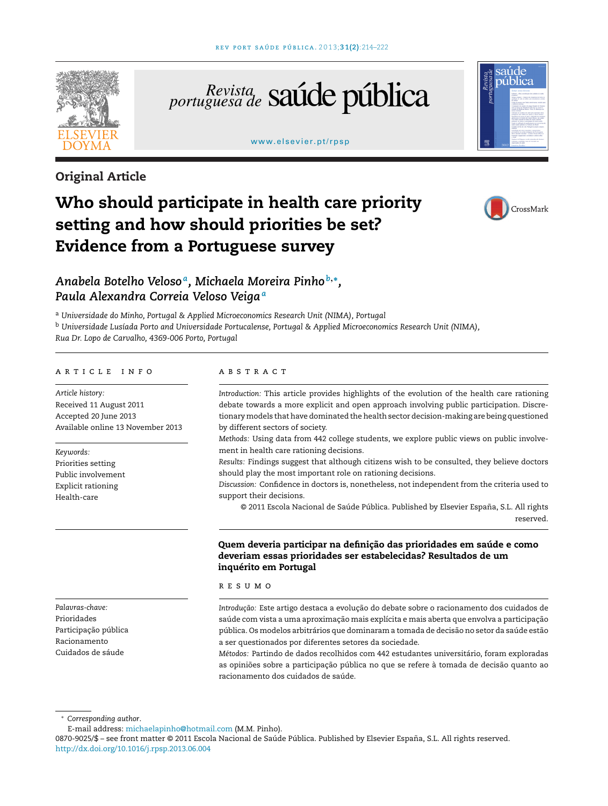

Portuguesa de Saúde pública

#### [www.elsevier.pt/rpsp](http://www.elsevier.pt/rpsp)



# **Original Article**

# **Who should participate in health care priority setting and how should priorities be set? Evidence from a Portuguese survey**



# *Anabela Botelho Veloso a, Michaela Moreira Pinho <sup>b</sup>***,∗***, Paula Alexandra Correia Veloso Veiga<sup>a</sup>*

<sup>a</sup> *Universidade do Minho, Portugal & Applied Microeconomics Research Unit (NIMA), Portugal* <sup>b</sup> *Universidade Lusíada Porto and Universidade Portucalense, Portugal & Applied Microeconomics Research Unit (NIMA), Rua Dr. Lopo de Carvalho, 4369-006 Porto, Portugal*

# a r t i c l e i n f o

*Article history:* Received 11 August 2011 Accepted 20 June 2013 Available online 13 November 2013

*Keywords:* Priorities setting Public involvement Explicit rationing Health-care

*Palavras-chave:* Prioridades Participação pública Racionamento Cuidados de sáude

#### a b s t r a c t

*Introduction:* This article provides highlights of the evolution of the health care rationing debate towards a more explicit and open approach involving public participation. Discretionary models that have dominated the health sector decision-making are being questioned by different sectors of society.

*Methods:* Using data from 442 college students, we explore public views on public involvement in health care rationing decisions.

*Results:* Findings suggest that although citizens wish to be consulted, they believe doctors should play the most important role on rationing decisions.

*Discussion:* Confidence in doctors is, nonetheless, not independent from the criteria used to support their decisions.

© 2011 Escola Nacional de Saúde Pública. Published by Elsevier España, S.L. All rights reserved.

# **Quem deveria participar na definic¸ão das prioridades em saúde e como deveriam essas prioridades ser estabelecidas? Resultados de um inquérito em Portugal**

#### r e s u m o

Introdução: Este artigo destaca a evolução do debate sobre o racionamento dos cuidados de saúde com vista a uma aproximação mais explícita e mais aberta que envolva a participação pública. Os modelos arbitrários que dominaram a tomada de decisão no setor da saúde estão a ser questionados por diferentes setores da sociedade.

*Métodos:* Partindo de dados recolhidos com 442 estudantes universitário, foram exploradas as opiniões sobre a participação pública no que se refere à tomada de decisão quanto ao racionamento dos cuidados de saúde.

<sup>∗</sup> *Corresponding author*.

E-mail address: [michaelapinho@hotmail.com](mailto:michaelapinho@hotmail.com) (M.M. Pinho).

<sup>0870-9025/\$</sup> – see front matter © 2011 Escola Nacional de Saúde Pública. Published by Elsevier España, S.L. All rights reserved. [http://dx.doi.org/10.1016/j.rpsp.2013.06.004](dx.doi.org/10.1016/j.rpsp.2013.06.004)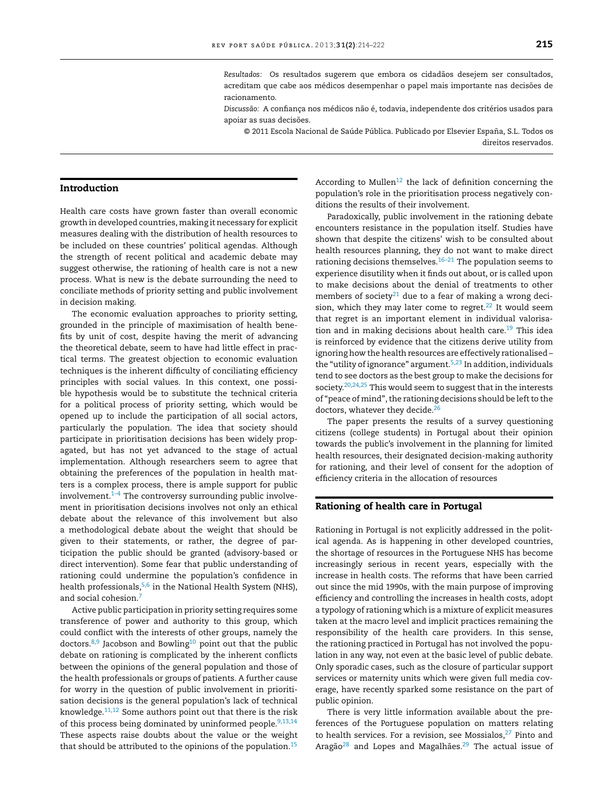*Resultados:* Os resultados sugerem que embora os cidadãos desejem ser consultados, acreditam que cabe aos médicos desempenhar o papel mais importante nas decisões de racionamento.

*Discussão:* A confianc¸a nos médicos não é, todavia, independente dos critérios usados para apoiar as suas decisões.

© 2011 Escola Nacional de Saúde Pública. Publicado por Elsevier España, S.L. Todos os direitos reservados.

# **Introduction**

Health care costs have grown faster than overall economic growth in developed countries, making it necessary for explicit measures dealing with the distribution of health resources to be included on these countries' political agendas. Although the strength of recent political and academic debate may suggest otherwise, the rationing of health care is not a new process. What is new is the debate surrounding the need to conciliate methods of priority setting and public involvement in decision making.

The economic evaluation approaches to priority setting, grounded in the principle of maximisation of health benefits by unit of cost, despite having the merit of advancing the theoretical debate, seem to have had little effect in practical terms. The greatest objection to economic evaluation techniques is the inherent difficulty of conciliating efficiency principles with social values. In this context, one possible hypothesis would be to substitute the technical criteria for a political process of priority setting, which would be opened up to include the participation of all social actors, particularly the population. The idea that society should participate in prioritisation decisions has been widely propagated, but has not yet advanced to the stage of actual implementation. Although researchers seem to agree that obtaining the preferences of the population in health matters is a complex process, there is ample support for public involvement. $1-4$  The controversy surrounding public involvement in prioritisation decisions involves not only an ethical debate about the relevance of this involvement but also a methodological debate about the weight that should be given to their statements, or rather, the degree of participation the public should be granted (advisory-based or direct intervention). Some fear that public understanding of rationing could undermine the population's confidence in health professionals,  $5,6$  in the National Health System (NHS). and social cohesion.<sup>7</sup>

Active public participation in priority setting requires some transference of power and authority to this group, which could conflict with the interests of other groups, namely the doctors. $8,9$  Jacobson and Bowling<sup>10</sup> point out that the public debate on rationing is complicated by the inherent conflicts between the opinions of the general population and those of the health professionals or groups of patients. A further cause for worry in the question of public involvement in prioritisation decisions is the general population's lack of technical knowledge. $11,12$  Some authors point out that there is the risk of this process being dominated by uninformed people.<sup>[9,13,14](#page-8-0)</sup> These aspects raise doubts about the value or the weight that should be attributed to the opinions of the population.<sup>[15](#page-8-0)</sup>

According to Mullen<sup>12</sup> the lack of definition concerning the population's role in the prioritisation process negatively conditions the results of their involvement.

Paradoxically, public involvement in the rationing debate encounters resistance in the population itself. Studies have shown that despite the citizens' wish to be consulted about health resources planning, they do not want to make direct rationing decisions themselves. $16-21$  The population seems to experience disutility when it finds out about, or is called upon to make decisions about the denial of treatments to other members of society<sup>[21](#page-8-0)</sup> due to a fear of making a wrong decision, which they may later come to regret. $22$  It would seem that regret is an important element in individual valorisation and in making decisions about health care.<sup>19</sup> This idea is reinforced by evidence that the citizens derive utility from ignoring how the health resources are effectively rationalised – the "utility of ignorance" argument.<sup>5,23</sup> In addition, individuals tend to see doctors as the best group to make the decisions for society.  $20,24,25$  This would seem to suggest that in the interests of "peace of mind", the rationing decisions should be left to the doctors, whatever they decide.<sup>26</sup>

The paper presents the results of a survey questioning citizens (college students) in Portugal about their opinion towards the public's involvement in the planning for limited health resources, their designated decision-making authority for rationing, and their level of consent for the adoption of efficiency criteria in the allocation of resources

# **Rationing of health care in Portugal**

Rationing in Portugal is not explicitly addressed in the political agenda. As is happening in other developed countries, the shortage of resources in the Portuguese NHS has become increasingly serious in recent years, especially with the increase in health costs. The reforms that have been carried out since the mid 1990s, with the main purpose of improving efficiency and controlling the increases in health costs, adopt a typology of rationing which is a mixture of explicit measures taken at the macro level and implicit practices remaining the responsibility of the health care providers. In this sense, the rationing practiced in Portugal has not involved the population in any way, not even at the basic level of public debate. Only sporadic cases, such as the closure of particular support services or maternity units which were given full media coverage, have recently sparked some resistance on the part of public opinion.

There is very little information available about the preferences of the Portuguese population on matters relating to health services. For a revision, see Mossialos, $^{27}$  $^{27}$  $^{27}$  Pinto and Aragão<sup>28</sup> and Lopes and Magalhães.<sup>29</sup> The actual issue of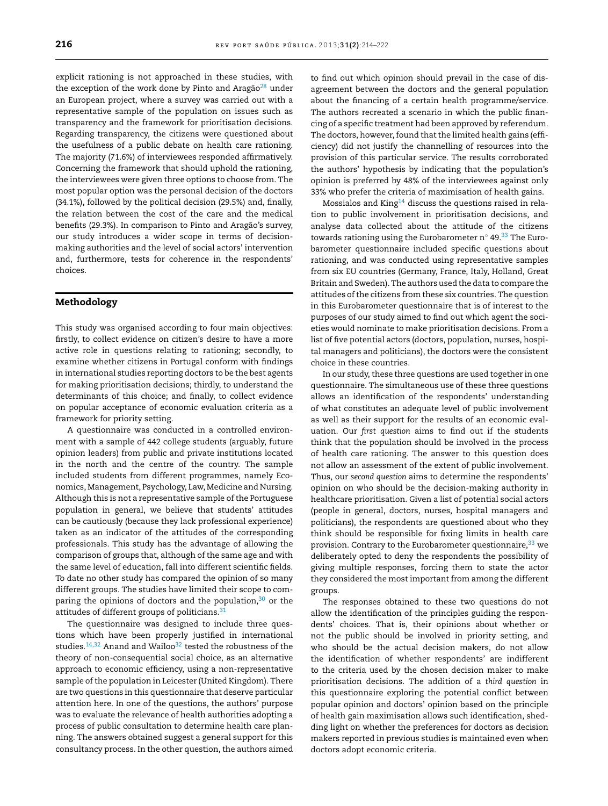explicit rationing is not approached in these studies, with the exception of the work done by Pinto and Aragão $^{28}$  under an European project, where a survey was carried out with a representative sample of the population on issues such as transparency and the framework for prioritisation decisions. Regarding transparency, the citizens were questioned about the usefulness of a public debate on health care rationing. The majority (71.6%) of interviewees responded affirmatively. Concerning the framework that should uphold the rationing, the interviewees were given three options to choose from. The most popular option was the personal decision of the doctors (34.1%), followed by the political decision (29.5%) and, finally, the relation between the cost of the care and the medical benefits (29.3%). In comparison to Pinto and Aragão's survey, our study introduces a wider scope in terms of decisionmaking authorities and the level of social actors' intervention and, furthermore, tests for coherence in the respondents' choices.

## **Methodology**

This study was organised according to four main objectives: firstly, to collect evidence on citizen's desire to have a more active role in questions relating to rationing; secondly, to examine whether citizens in Portugal conform with findings in international studies reporting doctors to be the best agents for making prioritisation decisions; thirdly, to understand the determinants of this choice; and finally, to collect evidence on popular acceptance of economic evaluation criteria as a framework for priority setting.

A questionnaire was conducted in a controlled environment with a sample of 442 college students (arguably, future opinion leaders) from public and private institutions located in the north and the centre of the country. The sample included students from different programmes, namely Economics, Management, Psychology, Law, Medicine and Nursing. Although this is not a representative sample of the Portuguese population in general, we believe that students' attitudes can be cautiously (because they lack professional experience) taken as an indicator of the attitudes of the corresponding professionals. This study has the advantage of allowing the comparison of groups that, although of the same age and with the same level of education, fall into different scientific fields. To date no other study has compared the opinion of so many different groups. The studies have limited their scope to com-paring the opinions of doctors and the population,<sup>[30](#page-8-0)</sup> or the attitudes of different groups of politicians.<sup>[31](#page-8-0)</sup>

The questionnaire was designed to include three questions which have been properly justified in international studies. $14,32$  Anand and Wailoo<sup>[32](#page-8-0)</sup> tested the robustness of the theory of non-consequential social choice, as an alternative approach to economic efficiency, using a non-representative sample of the population in Leicester (United Kingdom). There are two questions in this questionnaire that deserve particular attention here. In one of the questions, the authors' purpose was to evaluate the relevance of health authorities adopting a process of public consultation to determine health care planning. The answers obtained suggest a general support for this consultancy process. In the other question, the authors aimed to find out which opinion should prevail in the case of disagreement between the doctors and the general population about the financing of a certain health programme/service. The authors recreated a scenario in which the public financing of a specific treatment had been approved by referendum. The doctors, however, found that the limited health gains (efficiency) did not justify the channelling of resources into the provision of this particular service. The results corroborated the authors' hypothesis by indicating that the population's opinion is preferred by 48% of the interviewees against only 33% who prefer the criteria of maximisation of health gains.

Mossialos and  $King^{14}$  discuss the questions raised in relation to public involvement in prioritisation decisions, and analyse data collected about the attitude of the citizens towards rationing using the Eurobarometer n $\degree$  49.<sup>33</sup> The Eurobarometer questionnaire included specific questions about rationing, and was conducted using representative samples from six EU countries (Germany, France, Italy, Holland, Great Britain and Sweden). The authors used the data to compare the attitudes of the citizens from these six countries. The question in this Eurobarometer questionnaire that is of interest to the purposes of our study aimed to find out which agent the societies would nominate to make prioritisation decisions. From a list of five potential actors (doctors, population, nurses, hospital managers and politicians), the doctors were the consistent choice in these countries.

In our study, these three questions are used together in one questionnaire. The simultaneous use of these three questions allows an identification of the respondents' understanding of what constitutes an adequate level of public involvement as well as their support for the results of an economic evaluation. Our *first question* aims to find out if the students think that the population should be involved in the process of health care rationing. The answer to this question does not allow an assessment of the extent of public involvement. Thus, our *second question* aims to determine the respondents' opinion on who should be the decision-making authority in healthcare prioritisation. Given a list of potential social actors (people in general, doctors, nurses, hospital managers and politicians), the respondents are questioned about who they think should be responsible for fixing limits in health care provision. Contrary to the Eurobarometer questionnaire,  $33$  we deliberately opted to deny the respondents the possibility of giving multiple responses, forcing them to state the actor they considered the most important from among the different groups.

The responses obtained to these two questions do not allow the identification of the principles guiding the respondents' choices. That is, their opinions about whether or not the public should be involved in priority setting, and who should be the actual decision makers, do not allow the identification of whether respondents' are indifferent to the criteria used by the chosen decision maker to make prioritisation decisions. The addition of a *third question* in this questionnaire exploring the potential conflict between popular opinion and doctors' opinion based on the principle of health gain maximisation allows such identification, shedding light on whether the preferences for doctors as decision makers reported in previous studies is maintained even when doctors adopt economic criteria.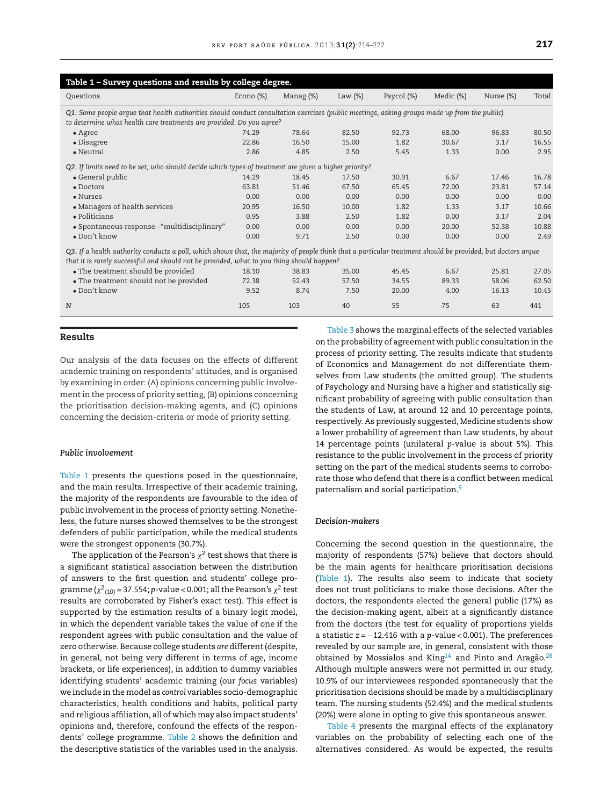| Table 1 - Survey questions and results by college degree.                                                                                                   |                                                                      |           |            |            |           |           |       |  |  |
|-------------------------------------------------------------------------------------------------------------------------------------------------------------|----------------------------------------------------------------------|-----------|------------|------------|-----------|-----------|-------|--|--|
| Questions                                                                                                                                                   | Econo $(\%)$                                                         | Manag (%) | Law $(\%)$ | Psycol (%) | Medic (%) | Nurse (%) | Total |  |  |
| Q1. Some people arque that health authorities should conduct consultation exercises (public meetings, asking groups made up from the public)                |                                                                      |           |            |            |           |           |       |  |  |
|                                                                                                                                                             | to determine what health care treatments are provided. Do you agree? |           |            |            |           |           |       |  |  |
| $\bullet$ Agree                                                                                                                                             | 74.29                                                                | 78.64     | 82.50      | 92.73      | 68.00     | 96.83     | 80.50 |  |  |
| $\bullet$ Disagree                                                                                                                                          | 22.86                                                                | 16.50     | 15.00      | 1.82       | 30.67     | 3.17      | 16.55 |  |  |
| $\bullet$ Neutral                                                                                                                                           | 2.86                                                                 | 4.85      | 2.50       | 5.45       | 1.33      | 0.00      | 2.95  |  |  |
| Q2. If limits need to be set, who should decide which types of treatment are given a higher priority?                                                       |                                                                      |           |            |            |           |           |       |  |  |
| • General public                                                                                                                                            | 14.29                                                                | 18.45     | 17.50      | 30.91      | 6.67      | 17.46     | 16.78 |  |  |
| $\bullet$ Doctors                                                                                                                                           | 63.81                                                                | 51.46     | 67.50      | 65.45      | 72.00     | 23.81     | 57.14 |  |  |
| $\bullet$ Nurses                                                                                                                                            | 0.00                                                                 | 0.00      | 0.00       | 0.00       | 0.00      | 0.00      | 0.00  |  |  |
| • Managers of health services                                                                                                                               | 20.95                                                                | 16.50     | 10.00      | 1.82       | 1.33      | 3.17      | 10.66 |  |  |
| • Politicians                                                                                                                                               | 0.95                                                                 | 3.88      | 2.50       | 1.82       | 0.00      | 3.17      | 2.04  |  |  |
| • Spontaneous response - "multidisciplinary"                                                                                                                | 0.00                                                                 | 0.00      | 0.00       | 0.00       | 20.00     | 52.38     | 10.88 |  |  |
| $\bullet$ Don't know                                                                                                                                        | 0.00                                                                 | 9.71      | 2.50       | 0.00       | 0.00      | 0.00      | 2.49  |  |  |
| Q3. If a health authority conducts a poll, which shows that, the majority of people think that a particular treatment should be provided, but doctors arque |                                                                      |           |            |            |           |           |       |  |  |
| that it is rarely successful and should not be provided, what to you thing should happen?                                                                   |                                                                      |           |            |            |           |           |       |  |  |
| • The treatment should be provided                                                                                                                          | 18.10                                                                | 38.83     | 35.00      | 45.45      | 6.67      | 25.81     | 27.05 |  |  |

| • The treatment should be provided     | 18.10 | 38.83 | 35.00 | 45.45 | 6.67  | 25.81 | 27.05 |
|----------------------------------------|-------|-------|-------|-------|-------|-------|-------|
| • The treatment should not be provided | 72.38 | 52.43 | 57.50 | 34.55 | 89.33 | 58.06 | 62.50 |
| $\bullet$ Don't know                   | 9.52  | 8.74  | 7.50  | 20.00 | 4.00  | 16.13 | 10.45 |
| N                                      | 105   | 103   | 40    | 55    |       | 63    | 441   |

# **Results**

Our analysis of the data focuses on the effects of different academic training on respondents' attitudes, and is organised by examining in order: (A) opinions concerning public involvement in the process of priority setting, (B) opinions concerning the prioritisation decision-making agents, and (C) opinions concerning the decision-criteria or mode of priority setting.

#### *Public involvement*

Table 1 presents the questions posed in the questionnaire, and the main results. Irrespective of their academic training, the majority of the respondents are favourable to the idea of public involvement in the process of priority setting. Nonetheless, the future nurses showed themselves to be the strongest defenders of public participation, while the medical students were the strongest opponents (30.7%).

The application of the Pearson's  $\chi^2$  test shows that there is a significant statistical association between the distribution of answers to the first question and students' college programme ( $\chi^2_{(10)}$  = 37.554;  $p$ -value < 0.001; all the Pearson's  $\chi^2$  test results are corroborated by Fisher's exact test). This effect is supported by the estimation results of a binary logit model, in which the dependent variable takes the value of one if the respondent agrees with public consultation and the value of zero otherwise. Because college students *are* different(despite, in general, not being very different in terms of age, income brackets, or life experiences), in addition to dummy variables identifying students' academic training (our *focus* variables) we include in the model as *control* variables socio-demographic characteristics, health conditions and habits, political party and religious affiliation, all of which may also impact students' opinions and, therefore, confound the effects of the respondents' college programme. [Table](#page-4-0) 2 shows the definition and the descriptive statistics of the variables used in the analysis.

[Table](#page-4-0) 3 shows the marginal effects of the selected variables on the probability of agreement with public consultation in the process of priority setting. The results indicate that students of Economics and Management do not differentiate themselves from Law students (the omitted group). The students of Psychology and Nursing have a higher and statistically significant probability of agreeing with public consultation than the students of Law, at around 12 and 10 percentage points, respectively. As previously suggested, Medicine students show a lower probability of agreement than Law students, by about 14 percentage points (unilateral *p*-value is about 5%). This resistance to the public involvement in the process of priority setting on the part of the medical students seems to corroborate those who defend that there is a conflict between medical paternalism and social participation[.9](#page-8-0)

#### *Decision-makers*

Concerning the second question in the questionnaire, the majority of respondents (57%) believe that doctors should be the main agents for healthcare prioritisation decisions (Table 1). The results also seem to indicate that society does not trust politicians to make those decisions. After the doctors, the respondents elected the general public (17%) as the decision-making agent, albeit at a significantly distance from the doctors (the test for equality of proportions yields a statistic *z* = −12.416 with a *p*-value < 0.001). The preferences revealed by our sample are, in general, consistent with those obtained by Mossialos and King<sup>14</sup> and Pinto and Aragão.<sup>[28](#page-8-0)</sup> Although multiple answers were not permitted in our study, 10.9% of our interviewees responded spontaneously that the prioritisation decisions should be made by a multidisciplinary team. The nursing students (52.4%) and the medical students (20%) were alone in opting to give this spontaneous answer.

[Table](#page-5-0) 4 presents the marginal effects of the explanatory variables on the probability of selecting each one of the alternatives considered. As would be expected, the results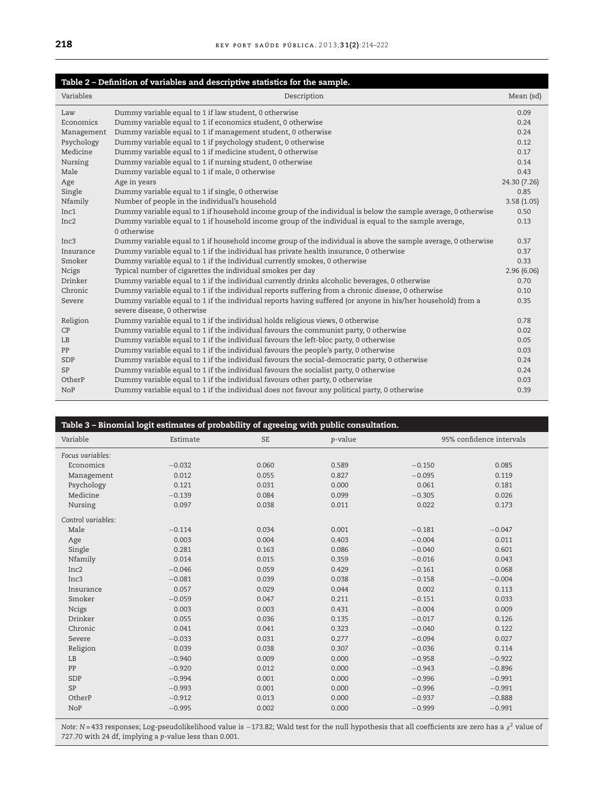<span id="page-4-0"></span>

| Table 2 - Definition of variables and descriptive statistics for the sample. |                                                                                                                |              |  |  |  |  |  |
|------------------------------------------------------------------------------|----------------------------------------------------------------------------------------------------------------|--------------|--|--|--|--|--|
| Variables                                                                    | Description                                                                                                    | Mean (sd)    |  |  |  |  |  |
| Law                                                                          | Dummy variable equal to 1 if law student, 0 otherwise                                                          | 0.09         |  |  |  |  |  |
| Economics                                                                    | Dummy variable equal to 1 if economics student, 0 otherwise                                                    | 0.24         |  |  |  |  |  |
| Management                                                                   | Dummy variable equal to 1 if management student, 0 otherwise                                                   | 0.24         |  |  |  |  |  |
| Psychology                                                                   | Dummy variable equal to 1 if psychology student, 0 otherwise                                                   | 0.12         |  |  |  |  |  |
| Medicine                                                                     | Dummy variable equal to 1 if medicine student, 0 otherwise                                                     | 0.17         |  |  |  |  |  |
| Nursing                                                                      | Dummy variable equal to 1 if nursing student, 0 otherwise                                                      | 0.14         |  |  |  |  |  |
| Male                                                                         | Dummy variable equal to 1 if male, 0 otherwise                                                                 | 0.43         |  |  |  |  |  |
| Age                                                                          | Age in years                                                                                                   | 24.30 (7.26) |  |  |  |  |  |
| Single                                                                       | Dummy variable equal to 1 if single, 0 otherwise                                                               | 0.85         |  |  |  |  |  |
| Nfamily                                                                      | Number of people in the individual's household                                                                 | 3.58(1.05)   |  |  |  |  |  |
| Inc1                                                                         | Dummy variable equal to 1 if household income group of the individual is below the sample average, 0 otherwise | 0.50         |  |  |  |  |  |
| Inc <sub>2</sub>                                                             | Dummy variable equal to 1 if household income group of the individual is equal to the sample average,          | 0.13         |  |  |  |  |  |
|                                                                              | 0 otherwise                                                                                                    |              |  |  |  |  |  |
| Inc <sub>3</sub>                                                             | Dummy variable equal to 1 if household income group of the individual is above the sample average, 0 otherwise | 0.37         |  |  |  |  |  |
| Insurance                                                                    | Dummy variable equal to 1 if the individual has private health insurance, 0 otherwise                          | 0.37         |  |  |  |  |  |
| Smoker                                                                       | Dummy variable equal to 1 if the individual currently smokes, 0 otherwise                                      | 0.33         |  |  |  |  |  |
| <b>Ncigs</b>                                                                 | Typical number of cigarettes the individual smokes per day                                                     | 2.96(6.06)   |  |  |  |  |  |
| Drinker                                                                      | Dummy variable equal to 1 if the individual currently drinks alcoholic beverages, 0 otherwise                  | 0.70         |  |  |  |  |  |
| Chronic                                                                      | Dummy variable equal to 1 if the individual reports suffering from a chronic disease, 0 otherwise              | 0.10         |  |  |  |  |  |
| Severe                                                                       | Dummy variable equal to 1 if the individual reports having suffered (or anyone in his/her household) from a    | 0.35         |  |  |  |  |  |
|                                                                              | severe disease, 0 otherwise                                                                                    |              |  |  |  |  |  |
| Religion                                                                     | Dummy variable equal to 1 if the individual holds religious views, 0 otherwise                                 | 0.78         |  |  |  |  |  |
| CP                                                                           | Dummy variable equal to 1 if the individual favours the communist party, 0 otherwise                           | 0.02         |  |  |  |  |  |
| I.B                                                                          | Dummy variable equal to 1 if the individual favours the left-bloc party, 0 otherwise                           | 0.05         |  |  |  |  |  |
| PP                                                                           | Dummy variable equal to 1 if the individual favours the people's party, 0 otherwise                            | 0.03         |  |  |  |  |  |
| SDP                                                                          | Dummy variable equal to 1 if the individual favours the social-democratic party, 0 otherwise                   | 0.24         |  |  |  |  |  |
| <b>SP</b>                                                                    | Dummy variable equal to 1 if the individual favours the socialist party, 0 otherwise                           | 0.24         |  |  |  |  |  |
| OtherP                                                                       | Dummy variable equal to 1 if the individual favours other party, 0 otherwise                                   | 0.03         |  |  |  |  |  |
| <b>NoP</b>                                                                   | Dummy variable equal to 1 if the individual does not favour any political party, 0 otherwise                   | 0.39         |  |  |  |  |  |

# **Table 3 – Binomial logit estimates of probability of agreeing with public consultation.**

| Variable           | Estimate | <b>SE</b> | p-value | 95% confidence intervals |          |  |
|--------------------|----------|-----------|---------|--------------------------|----------|--|
| Focus variables:   |          |           |         |                          |          |  |
| Economics          | $-0.032$ | 0.060     | 0.589   | $-0.150$                 | 0.085    |  |
| Management         | 0.012    | 0.055     | 0.827   | $-0.095$                 | 0.119    |  |
| Psychology         | 0.121    | 0.031     | 0.000   | 0.061                    | 0.181    |  |
| Medicine           | $-0.139$ | 0.084     | 0.099   | $-0.305$                 | 0.026    |  |
| Nursing            | 0.097    | 0.038     | 0.011   | 0.022                    | 0.173    |  |
| Control variables: |          |           |         |                          |          |  |
| Male               | $-0.114$ | 0.034     | 0.001   | $-0.181$                 | $-0.047$ |  |
| Age                | 0.003    | 0.004     | 0.403   | $-0.004$                 | 0.011    |  |
| Single             | 0.281    | 0.163     | 0.086   | $-0.040$                 | 0.601    |  |
| Nfamily            | 0.014    | 0.015     | 0.359   | $-0.016$                 | 0.043    |  |
| Inc <sub>2</sub>   | $-0.046$ | 0.059     | 0.429   | $-0.161$                 | 0.068    |  |
| Inc <sub>3</sub>   | $-0.081$ | 0.039     | 0.038   | $-0.158$                 | $-0.004$ |  |
| Insurance          | 0.057    | 0.029     | 0.044   | 0.002                    | 0.113    |  |
| Smoker             | $-0.059$ | 0.047     | 0.211   | $-0.151$                 | 0.033    |  |
| <b>Ncigs</b>       | 0.003    | 0.003     | 0.431   | $-0.004$                 | 0.009    |  |
| Drinker            | 0.055    | 0.036     | 0.135   | $-0.017$                 | 0.126    |  |
| Chronic            | 0.041    | 0.041     | 0.323   | $-0.040$                 | 0.122    |  |
| Severe             | $-0.033$ | 0.031     | 0.277   | $-0.094$                 | 0.027    |  |
| Religion           | 0.039    | 0.038     | 0.307   | $-0.036$                 | 0.114    |  |
| LB                 | $-0.940$ | 0.009     | 0.000   | $-0.958$                 | $-0.922$ |  |
| PP                 | $-0.920$ | 0.012     | 0.000   | $-0.943$                 | $-0.896$ |  |
| <b>SDP</b>         | $-0.994$ | 0.001     | 0.000   | $-0.996$                 | $-0.991$ |  |
| <b>SP</b>          | $-0.993$ | 0.001     | 0.000   | $-0.996$                 | $-0.991$ |  |
| OtherP             | $-0.912$ | 0.013     | 0.000   | $-0.937$                 | $-0.888$ |  |
| <b>NoP</b>         | $-0.995$ | 0.002     | 0.000   | $-0.999$                 | $-0.991$ |  |

*Note: N*=433 responses; Log-pseudolikelihood value is −173.82; Wald test for the null hypothesis that all coefficients are zero has a  $\chi^2$  value of 727.70 with 24 df, implying a *p*-value less than 0.001.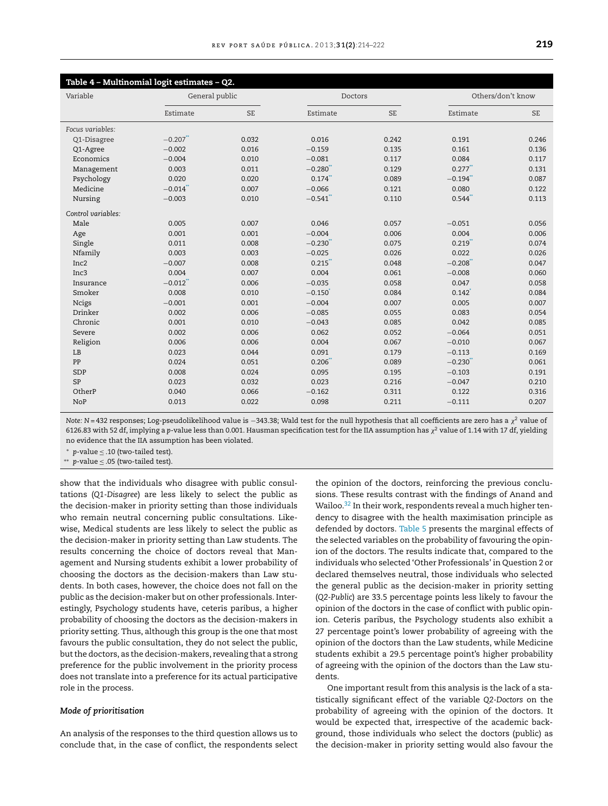<span id="page-5-0"></span>

| Table 4 - Multinomial logit estimates - Q2. |          |                |            |           |                   |           |  |  |
|---------------------------------------------|----------|----------------|------------|-----------|-------------------|-----------|--|--|
| Variable                                    |          | General public |            | Doctors   | Others/don't know |           |  |  |
|                                             | Estimate | <b>SE</b>      | Estimate   | <b>SE</b> | Estimate          | <b>SE</b> |  |  |
| Focus variables:                            |          |                |            |           |                   |           |  |  |
| Q1-Disagree                                 | $-0.207$ | 0.032          | 0.016      | 0.242     | 0.191             | 0.246     |  |  |
| Q1-Agree                                    | $-0.002$ | 0.016          | $-0.159$   | 0.135     | 0.161             | 0.136     |  |  |
| Economics                                   | $-0.004$ | 0.010          | $-0.081$   | 0.117     | 0.084             | 0.117     |  |  |
| Management                                  | 0.003    | 0.011          | $-0.280$   | 0.129     | 0.277             | 0.131     |  |  |
| Psychology                                  | 0.020    | 0.020          | $0.174$ ** | 0.089     | $-0.194$          | 0.087     |  |  |
| Medicine                                    | $-0.014$ | 0.007          | $-0.066$   | 0.121     | 0.080             | 0.122     |  |  |
| Nursing                                     | $-0.003$ | 0.010          | $-0.541$ " | 0.110     | 0.544             | 0.113     |  |  |
| Control variables:                          |          |                |            |           |                   |           |  |  |
| Male                                        | 0.005    | 0.007          | 0.046      | 0.057     | $-0.051$          | 0.056     |  |  |
| Age                                         | 0.001    | 0.001          | $-0.004$   | 0.006     | 0.004             | 0.006     |  |  |
| Single                                      | 0.011    | 0.008          | $-0.230$   | 0.075     | 0.219             | 0.074     |  |  |
| Nfamily                                     | 0.003    | 0.003          | $-0.025$   | 0.026     | 0.022             | 0.026     |  |  |
| Inc2                                        | $-0.007$ | 0.008          | $0.215$ ** | 0.048     | $-0.208$ **       | 0.047     |  |  |
| Inc <sub>3</sub>                            | 0.004    | 0.007          | 0.004      | 0.061     | $-0.008$          | 0.060     |  |  |
| Insurance                                   | $-0.012$ | 0.006          | $-0.035$   | 0.058     | 0.047             | 0.058     |  |  |
| Smoker                                      | 0.008    | 0.010          | $-0.150$   | 0.084     | 0.142             | 0.084     |  |  |
| <b>Ncigs</b>                                | $-0.001$ | 0.001          | $-0.004$   | 0.007     | 0.005             | 0.007     |  |  |
| Drinker                                     | 0.002    | 0.006          | $-0.085$   | 0.055     | 0.083             | 0.054     |  |  |
| Chronic                                     | 0.001    | 0.010          | $-0.043$   | 0.085     | 0.042             | 0.085     |  |  |
| Severe                                      | 0.002    | 0.006          | 0.062      | 0.052     | $-0.064$          | 0.051     |  |  |
| Religion                                    | 0.006    | 0.006          | 0.004      | 0.067     | $-0.010$          | 0.067     |  |  |
| LB                                          | 0.023    | 0.044          | 0.091      | 0.179     | $-0.113$          | 0.169     |  |  |
| PP                                          | 0.024    | 0.051          | 0.206      | 0.089     | $-0.230$          | 0.061     |  |  |
| SDP                                         | 0.008    | 0.024          | 0.095      | 0.195     | $-0.103$          | 0.191     |  |  |
| <b>SP</b>                                   | 0.023    | 0.032          | 0.023      | 0.216     | $-0.047$          | 0.210     |  |  |
| OtherP                                      | 0.040    | 0.066          | $-0.162$   | 0.311     | 0.122             | 0.316     |  |  |
| <b>NoP</b>                                  | 0.013    | 0.022          | 0.098      | 0.211     | $-0.111$          | 0.207     |  |  |

*Note: N* = 432 responses; Log-pseudolikelihood value is −343.38; Wald test for the null hypothesis that all coefficients are zero has a  $\chi^2$  value of 6126.83 with 52 df, implying a p-value less than 0.001. Hausman specification test for the IIA assumption has  $\chi^2$  value of 1.14 with 17 df, yielding no evidence that the IIA assumption has been violated.

<sup>∗</sup> *p*-value ≤ .10 (two-tailed test).

∗∗ *p*-value ≤ .05 (two-tailed test).

show that the individuals who disagree with public consultations (*Q1-Disagree*) are less likely to select the public as the decision-maker in priority setting than those individuals who remain neutral concerning public consultations. Likewise, Medical students are less likely to select the public as the decision-maker in priority setting than Law students. The results concerning the choice of doctors reveal that Management and Nursing students exhibit a lower probability of choosing the doctors as the decision-makers than Law students. In both cases, however, the choice does not fall on the public as the decision-maker but on other professionals. Interestingly, Psychology students have, ceteris paribus, a higher probability of choosing the doctors as the decision-makers in priority setting. Thus, although this group is the one that most favours the public consultation, they do not select the public, butthe doctors, as the decision-makers, revealing that a strong preference for the public involvement in the priority process does not translate into a preference for its actual participative role in the process.

## *Mode of prioritisation*

An analysis of the responses to the third question allows us to conclude that, in the case of conflict, the respondents select

the opinion of the doctors, reinforcing the previous conclusions. These results contrast with the findings of Anand and Wailoo. $32$  In their work, respondents reveal a much higher tendency to disagree with the health maximisation principle as defended by doctors. [Table](#page-6-0) 5 presents the marginal effects of the selected variables on the probability of favouring the opinion of the doctors. The results indicate that, compared to the individuals who selected 'Other Professionals' in Question 2 or declared themselves neutral, those individuals who selected the general public as the decision-maker in priority setting (*Q2-Public*) are 33.5 percentage points less likely to favour the opinion of the doctors in the case of conflict with public opinion. Ceteris paribus, the Psychology students also exhibit a 27 percentage point's lower probability of agreeing with the opinion of the doctors than the Law students, while Medicine students exhibit a 29.5 percentage point's higher probability of agreeing with the opinion of the doctors than the Law students.

One important result from this analysis is the lack of a statistically significant effect of the variable *Q2-Doctors* on the probability of agreeing with the opinion of the doctors. It would be expected that, irrespective of the academic background, those individuals who select the doctors (public) as the decision-maker in priority setting would also favour the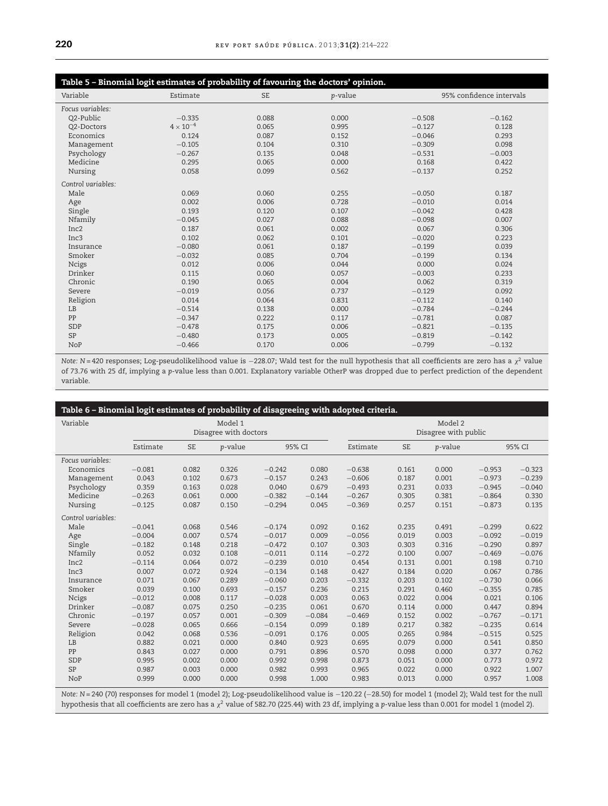<span id="page-6-0"></span>

| Table 5 - Binomial logit estimates of probability of favouring the doctors' opinion. |                  |           |                 |          |                          |  |  |  |
|--------------------------------------------------------------------------------------|------------------|-----------|-----------------|----------|--------------------------|--|--|--|
| Variable                                                                             | Estimate         | <b>SE</b> | <i>p</i> -value |          | 95% confidence intervals |  |  |  |
| Focus variables:                                                                     |                  |           |                 |          |                          |  |  |  |
| Q2-Public                                                                            | $-0.335$         | 0.088     | 0.000           | $-0.508$ | $-0.162$                 |  |  |  |
| Q2-Doctors                                                                           | $4\times10^{-4}$ | 0.065     | 0.995           | $-0.127$ | 0.128                    |  |  |  |
| Economics                                                                            | 0.124            | 0.087     | 0.152           | $-0.046$ | 0.293                    |  |  |  |
| Management                                                                           | $-0.105$         | 0.104     | 0.310           | $-0.309$ | 0.098                    |  |  |  |
| Psychology                                                                           | $-0.267$         | 0.135     | 0.048           | $-0.531$ | $-0.003$                 |  |  |  |
| Medicine                                                                             | 0.295            | 0.065     | 0.000           | 0.168    | 0.422                    |  |  |  |
| Nursing                                                                              | 0.058            | 0.099     | 0.562           | $-0.137$ | 0.252                    |  |  |  |
| Control variables:                                                                   |                  |           |                 |          |                          |  |  |  |
| Male                                                                                 | 0.069            | 0.060     | 0.255           | $-0.050$ | 0.187                    |  |  |  |
| Age                                                                                  | 0.002            | 0.006     | 0.728           | $-0.010$ | 0.014                    |  |  |  |
| Single                                                                               | 0.193            | 0.120     | 0.107           | $-0.042$ | 0.428                    |  |  |  |
| Nfamily                                                                              | $-0.045$         | 0.027     | 0.088           | $-0.098$ | 0.007                    |  |  |  |
| Inc <sub>2</sub>                                                                     | 0.187            | 0.061     | 0.002           | 0.067    | 0.306                    |  |  |  |
| Inc <sub>3</sub>                                                                     | 0.102            | 0.062     | 0.101           | $-0.020$ | 0.223                    |  |  |  |
| Insurance                                                                            | $-0.080$         | 0.061     | 0.187           | $-0.199$ | 0.039                    |  |  |  |
| Smoker                                                                               | $-0.032$         | 0.085     | 0.704           | $-0.199$ | 0.134                    |  |  |  |
| <b>Ncigs</b>                                                                         | 0.012            | 0.006     | 0.044           | 0.000    | 0.024                    |  |  |  |
| Drinker                                                                              | 0.115            | 0.060     | 0.057           | $-0.003$ | 0.233                    |  |  |  |
| Chronic                                                                              | 0.190            | 0.065     | 0.004           | 0.062    | 0.319                    |  |  |  |
| Severe                                                                               | $-0.019$         | 0.056     | 0.737           | $-0.129$ | 0.092                    |  |  |  |
| Religion                                                                             | 0.014            | 0.064     | 0.831           | $-0.112$ | 0.140                    |  |  |  |
| LB                                                                                   | $-0.514$         | 0.138     | 0.000           | $-0.784$ | $-0.244$                 |  |  |  |
| PP                                                                                   | $-0.347$         | 0.222     | 0.117           | $-0.781$ | 0.087                    |  |  |  |
| SDP                                                                                  | $-0.478$         | 0.175     | 0.006           | $-0.821$ | $-0.135$                 |  |  |  |
| <b>SP</b>                                                                            | $-0.480$         | 0.173     | 0.005           | $-0.819$ | $-0.142$                 |  |  |  |
| <b>NoP</b>                                                                           | $-0.466$         | 0.170     | 0.006           | $-0.799$ | $-0.132$                 |  |  |  |

*Note: N* = 420 responses; Log-pseudolikelihood value is  $-228.07$ ; Wald test for the null hypothesis that all coefficients are zero has a  $\chi^2$  value of 73.76 with 25 df, implying a *p*-value less than 0.001. Explanatory variable OtherP was dropped due to perfect prediction of the dependent variable.

#### **Table 6 – Binomial logit estimates of probability of disagreeing with adopted criteria.**

| Variable           | Model 1<br>Disagree with doctors |           |                 |          | Model 2<br>Disagree with public |          |           |         |          |          |
|--------------------|----------------------------------|-----------|-----------------|----------|---------------------------------|----------|-----------|---------|----------|----------|
|                    | Estimate                         | <b>SE</b> | <i>p</i> -value | 95% CI   |                                 | Estimate | <b>SE</b> | p-value |          | 95% CI   |
| Focus variables:   |                                  |           |                 |          |                                 |          |           |         |          |          |
| Economics          | $-0.081$                         | 0.082     | 0.326           | $-0.242$ | 0.080                           | $-0.638$ | 0.161     | 0.000   | $-0.953$ | $-0.323$ |
| Management         | 0.043                            | 0.102     | 0.673           | $-0.157$ | 0.243                           | $-0.606$ | 0.187     | 0.001   | $-0.973$ | $-0.239$ |
| Psychology         | 0.359                            | 0.163     | 0.028           | 0.040    | 0.679                           | $-0.493$ | 0.231     | 0.033   | $-0.945$ | $-0.040$ |
| Medicine           | $-0.263$                         | 0.061     | 0.000           | $-0.382$ | $-0.144$                        | $-0.267$ | 0.305     | 0.381   | $-0.864$ | 0.330    |
| Nursing            | $-0.125$                         | 0.087     | 0.150           | $-0.294$ | 0.045                           | $-0.369$ | 0.257     | 0.151   | $-0.873$ | 0.135    |
| Control variables: |                                  |           |                 |          |                                 |          |           |         |          |          |
| Male               | $-0.041$                         | 0.068     | 0.546           | $-0.174$ | 0.092                           | 0.162    | 0.235     | 0.491   | $-0.299$ | 0.622    |
| Age                | $-0.004$                         | 0.007     | 0.574           | $-0.017$ | 0.009                           | $-0.056$ | 0.019     | 0.003   | $-0.092$ | $-0.019$ |
| Single             | $-0.182$                         | 0.148     | 0.218           | $-0.472$ | 0.107                           | 0.303    | 0.303     | 0.316   | $-0.290$ | 0.897    |
| Nfamily            | 0.052                            | 0.032     | 0.108           | $-0.011$ | 0.114                           | $-0.272$ | 0.100     | 0.007   | $-0.469$ | $-0.076$ |
| Inc <sub>2</sub>   | $-0.114$                         | 0.064     | 0.072           | $-0.239$ | 0.010                           | 0.454    | 0.131     | 0.001   | 0.198    | 0.710    |
| Inc <sub>3</sub>   | 0.007                            | 0.072     | 0.924           | $-0.134$ | 0.148                           | 0.427    | 0.184     | 0.020   | 0.067    | 0.786    |
| Insurance          | 0.071                            | 0.067     | 0.289           | $-0.060$ | 0.203                           | $-0.332$ | 0.203     | 0.102   | $-0.730$ | 0.066    |
| Smoker             | 0.039                            | 0.100     | 0.693           | $-0.157$ | 0.236                           | 0.215    | 0.291     | 0.460   | $-0.355$ | 0.785    |
| <b>Ncigs</b>       | $-0.012$                         | 0.008     | 0.117           | $-0.028$ | 0.003                           | 0.063    | 0.022     | 0.004   | 0.021    | 0.106    |
| Drinker            | $-0.087$                         | 0.075     | 0.250           | $-0.235$ | 0.061                           | 0.670    | 0.114     | 0.000   | 0.447    | 0.894    |
| Chronic            | $-0.197$                         | 0.057     | 0.001           | $-0.309$ | $-0.084$                        | $-0.469$ | 0.152     | 0.002   | $-0.767$ | $-0.171$ |
| Severe             | $-0.028$                         | 0.065     | 0.666           | $-0.154$ | 0.099                           | 0.189    | 0.217     | 0.382   | $-0.235$ | 0.614    |
| Religion           | 0.042                            | 0.068     | 0.536           | $-0.091$ | 0.176                           | 0.005    | 0.265     | 0.984   | $-0.515$ | 0.525    |
| LB                 | 0.882                            | 0.021     | 0.000           | 0.840    | 0.923                           | 0.695    | 0.079     | 0.000   | 0.541    | 0.850    |
| PP                 | 0.843                            | 0.027     | 0.000           | 0.791    | 0.896                           | 0.570    | 0.098     | 0.000   | 0.377    | 0.762    |
| <b>SDP</b>         | 0.995                            | 0.002     | 0.000           | 0.992    | 0.998                           | 0.873    | 0.051     | 0.000   | 0.773    | 0.972    |
| <b>SP</b>          | 0.987                            | 0.003     | 0.000           | 0.982    | 0.993                           | 0.965    | 0.022     | 0.000   | 0.922    | 1.007    |
| <b>NoP</b>         | 0.999                            | 0.000     | 0.000           | 0.998    | 1.000                           | 0.983    | 0.013     | 0.000   | 0.957    | 1.008    |

*Note: N* = 240 (70) responses for model 1 (model 2); Log-pseudolikelihood value is −120.22 (−28.50) for model 1 (model 2); Wald test for the null hypothesis that all coefficients are zero has a  $\chi^2$  value of 582.70 (225.44) with 23 df, implying a  $p$ -value less than 0.001 for model 1 (model 2).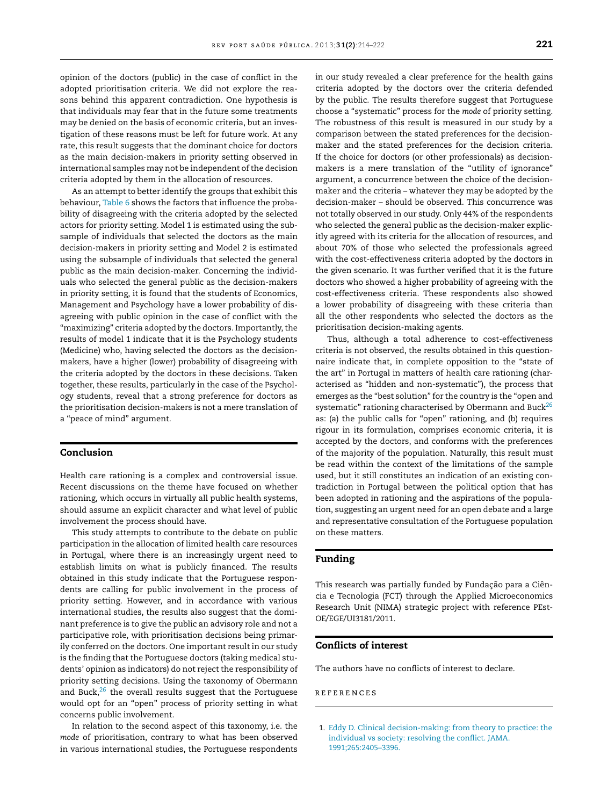<span id="page-7-0"></span>opinion of the doctors (public) in the case of conflict in the adopted prioritisation criteria. We did not explore the reasons behind this apparent contradiction. One hypothesis is that individuals may fear that in the future some treatments may be denied on the basis of economic criteria, but an investigation of these reasons must be left for future work. At any rate, this result suggests that the dominant choice for doctors as the main decision-makers in priority setting observed in international samples may not be independent of the decision criteria adopted by them in the allocation of resources.

As an attempt to better identify the groups that exhibit this behaviour, [Table](#page-6-0) 6 shows the factors that influence the probability of disagreeing with the criteria adopted by the selected actors for priority setting. Model 1 is estimated using the subsample of individuals that selected the doctors as the main decision-makers in priority setting and Model 2 is estimated using the subsample of individuals that selected the general public as the main decision-maker. Concerning the individuals who selected the general public as the decision-makers in priority setting, it is found that the students of Economics, Management and Psychology have a lower probability of disagreeing with public opinion in the case of conflict with the "maximizing" criteria adopted by the doctors. Importantly, the results of model 1 indicate that it is the Psychology students (Medicine) who, having selected the doctors as the decisionmakers, have a higher (lower) probability of disagreeing with the criteria adopted by the doctors in these decisions. Taken together, these results, particularly in the case of the Psychology students, reveal that a strong preference for doctors as the prioritisation decision-makers is not a mere translation of a "peace of mind" argument.

## **Conclusion**

Health care rationing is a complex and controversial issue. Recent discussions on the theme have focused on whether rationing, which occurs in virtually all public health systems, should assume an explicit character and what level of public involvement the process should have.

This study attempts to contribute to the debate on public participation in the allocation of limited health care resources in Portugal, where there is an increasingly urgent need to establish limits on what is publicly financed. The results obtained in this study indicate that the Portuguese respondents are calling for public involvement in the process of priority setting. However, and in accordance with various international studies, the results also suggest that the dominant preference is to give the public an advisory role and not a participative role, with prioritisation decisions being primarily conferred on the doctors. One important result in our study is the finding that the Portuguese doctors (taking medical students' opinion as indicators) do not reject the responsibility of priority setting decisions. Using the taxonomy of Obermann and Buck, $26$  the overall results suggest that the Portuguese would opt for an "open" process of priority setting in what concerns public involvement.

In relation to the second aspect of this taxonomy, i.e. the *mode* of prioritisation, contrary to what has been observed in various international studies, the Portuguese respondents in our study revealed a clear preference for the health gains criteria adopted by the doctors over the criteria defended by the public. The results therefore suggest that Portuguese choose a "systematic" process for the *mode* of priority setting. The robustness of this result is measured in our study by a comparison between the stated preferences for the decisionmaker and the stated preferences for the decision criteria. If the choice for doctors (or other professionals) as decisionmakers is a mere translation of the "utility of ignorance" argument, a concurrence between the choice of the decisionmaker and the criteria – whatever they may be adopted by the decision-maker – should be observed. This concurrence was not totally observed in our study. Only 44% of the respondents who selected the general public as the decision-maker explicitly agreed with its criteria for the allocation of resources, and about 70% of those who selected the professionals agreed with the cost-effectiveness criteria adopted by the doctors in the given scenario. It was further verified that it is the future doctors who showed a higher probability of agreeing with the cost-effectiveness criteria. These respondents also showed a lower probability of disagreeing with these criteria than all the other respondents who selected the doctors as the prioritisation decision-making agents.

Thus, although a total adherence to cost-effectiveness criteria is not observed, the results obtained in this questionnaire indicate that, in complete opposition to the "state of the art" in Portugal in matters of health care rationing (characterised as "hidden and non-systematic"), the process that emerges as the "best solution" for the country is the "open and systematic" rationing characterised by Obermann and Buck $^{26}$  $^{26}$  $^{26}$ as: (a) the public calls for "open" rationing, and (b) requires rigour in its formulation, comprises economic criteria, it is accepted by the doctors, and conforms with the preferences of the majority of the population. Naturally, this result must be read within the context of the limitations of the sample used, but it still constitutes an indication of an existing contradiction in Portugal between the political option that has been adopted in rationing and the aspirations of the population, suggesting an urgent need for an open debate and a large and representative consultation of the Portuguese population on these matters.

### **Funding**

This research was partially funded by Fundação para a Ciência e Tecnologia (FCT) through the Applied Microeconomics Research Unit (NIMA) strategic project with reference PEst-OE/EGE/UI3181/2011.

# **Conflicts of interest**

The authors have no conflicts of interest to declare.

# **REFERENCES**

1. [Eddy](http://refhub.elsevier.com/S0870-9025(13)00059-X/sbref0005) [D.](http://refhub.elsevier.com/S0870-9025(13)00059-X/sbref0005) [Clinical](http://refhub.elsevier.com/S0870-9025(13)00059-X/sbref0005) [decision-making:](http://refhub.elsevier.com/S0870-9025(13)00059-X/sbref0005) [from](http://refhub.elsevier.com/S0870-9025(13)00059-X/sbref0005) [theory](http://refhub.elsevier.com/S0870-9025(13)00059-X/sbref0005) [to](http://refhub.elsevier.com/S0870-9025(13)00059-X/sbref0005) [practice:](http://refhub.elsevier.com/S0870-9025(13)00059-X/sbref0005) [the](http://refhub.elsevier.com/S0870-9025(13)00059-X/sbref0005) [individual](http://refhub.elsevier.com/S0870-9025(13)00059-X/sbref0005) [vs](http://refhub.elsevier.com/S0870-9025(13)00059-X/sbref0005) [society:](http://refhub.elsevier.com/S0870-9025(13)00059-X/sbref0005) [resolving](http://refhub.elsevier.com/S0870-9025(13)00059-X/sbref0005) [the](http://refhub.elsevier.com/S0870-9025(13)00059-X/sbref0005) [conflict.](http://refhub.elsevier.com/S0870-9025(13)00059-X/sbref0005) [JAMA.](http://refhub.elsevier.com/S0870-9025(13)00059-X/sbref0005) [1991;265:2405–3396.](http://refhub.elsevier.com/S0870-9025(13)00059-X/sbref0005)